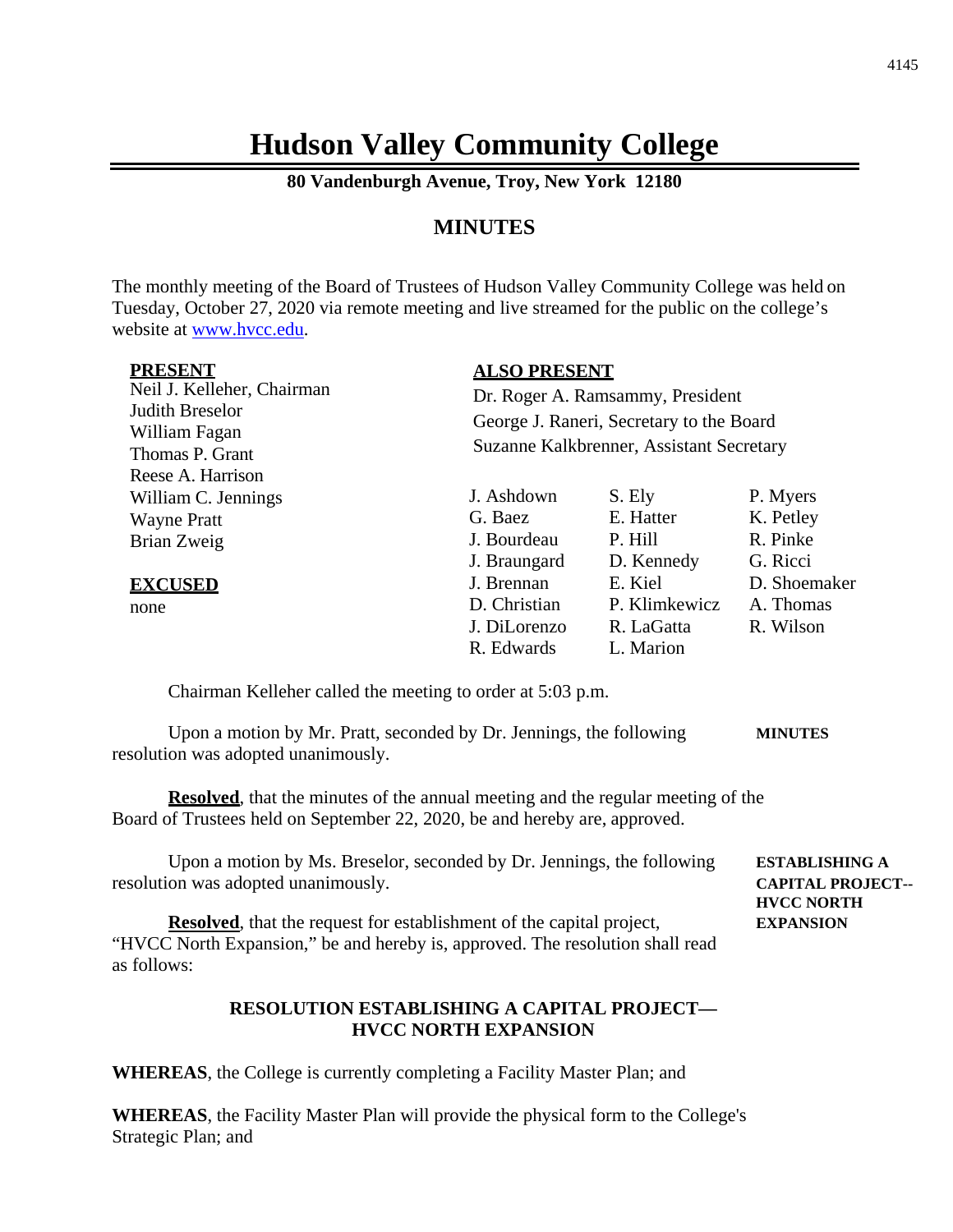# **Hudson Valley Community College**

**80 Vandenburgh Avenue, Troy, New York 12180**

## **MINUTES**

The monthly meeting of the Board of Trustees of Hudson Valley Community College was held on Tuesday, October 27, 2020 via remote meeting and live streamed for the public on the college's website at [www.hvcc.edu.](http://www.hvcc.edu/)

| <b>PRESENT</b><br>Neil J. Kelleher, Chairman<br>Judith Breselor<br>William Fagan<br>Thomas P. Grant<br>Reese A. Harrison |                                                          | <b>ALSO PRESENT</b><br>Dr. Roger A. Ramsammy, President<br>George J. Raneri, Secretary to the Board<br>Suzanne Kalkbrenner, Assistant Secretary |                                               |  |  |
|--------------------------------------------------------------------------------------------------------------------------|----------------------------------------------------------|-------------------------------------------------------------------------------------------------------------------------------------------------|-----------------------------------------------|--|--|
| William C. Jennings<br><b>Wayne Pratt</b><br>Brian Zweig                                                                 | J. Ashdown<br>G. Baez<br>J. Bourdeau<br>J. Braungard     | S. Ely<br>E. Hatter<br>P. Hill<br>D. Kennedy                                                                                                    | P. Myers<br>K. Petley<br>R. Pinke<br>G. Ricci |  |  |
| <b>EXCUSED</b><br>none                                                                                                   | J. Brennan<br>D. Christian<br>J. DiLorenzo<br>R. Edwards | E. Kiel<br>P. Klimkewicz<br>R. LaGatta<br>L. Marion                                                                                             | D. Shoemaker<br>A. Thomas<br>R. Wilson        |  |  |

Chairman Kelleher called the meeting to order at 5:03 p.m.

Upon a motion by Mr. Pratt, seconded by Dr. Jennings, the following **MINUTES** resolution was adopted unanimously.

**Resolved**, that the minutes of the annual meeting and the regular meeting of the Board of Trustees held on September 22, 2020, be and hereby are, approved.

Upon a motion by Ms. Breselor, seconded by Dr. Jennings, the following **ESTABLISHING A** resolution was adopted unanimously. **CAPITAL PROJECT-- HVCC NORTH**

**Resolved**, that the request for establishment of the capital project, **EXPANSION** "HVCC North Expansion," be and hereby is, approved. The resolution shall read as follows:

### **RESOLUTION ESTABLISHING A CAPITAL PROJECT— HVCC NORTH EXPANSION**

**WHEREAS**, the College is currently completing a Facility Master Plan; and

**WHEREAS**, the Facility Master Plan will provide the physical form to the College's Strategic Plan; and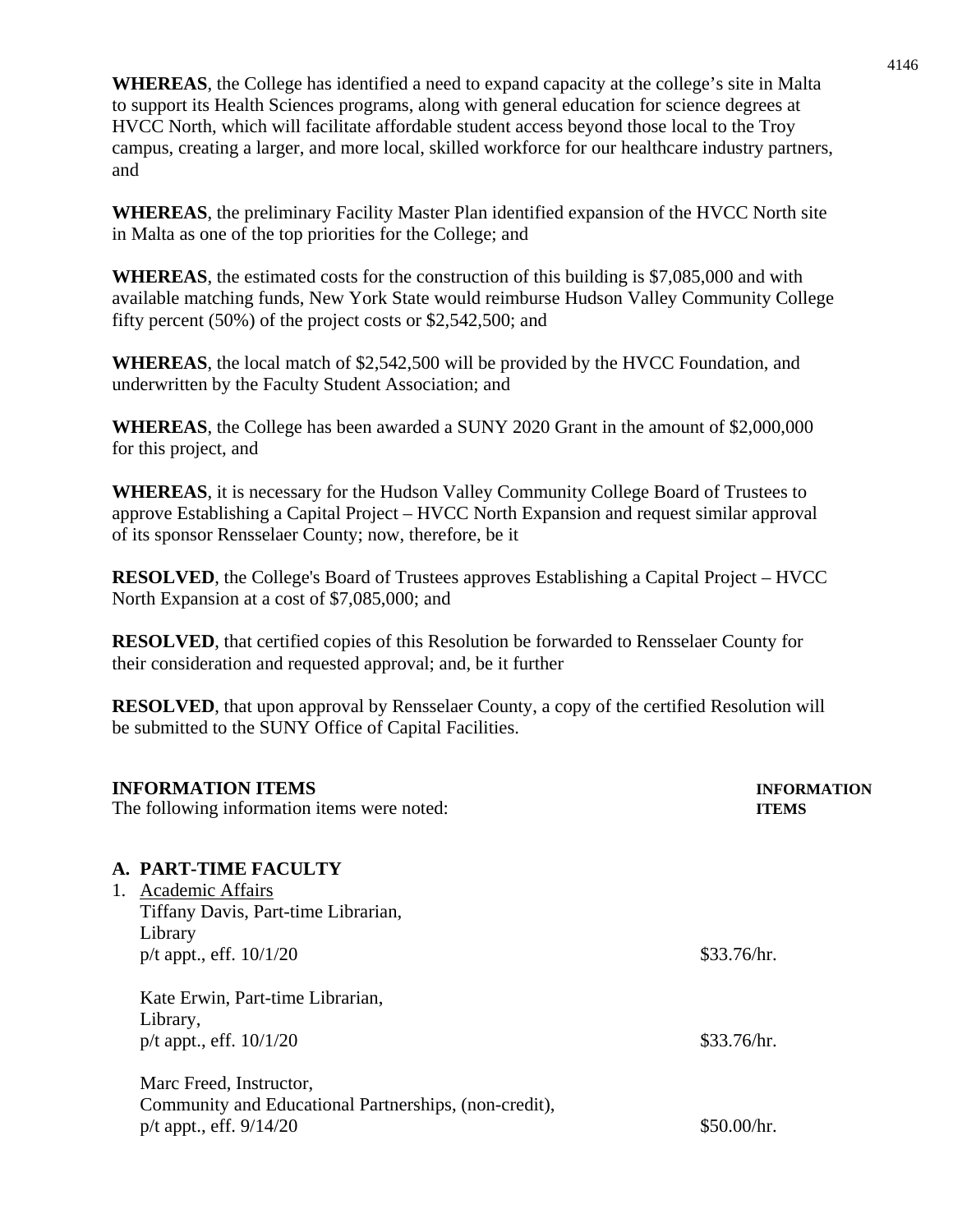**WHEREAS**, the College has identified a need to expand capacity at the college's site in Malta to support its Health Sciences programs, along with general education for science degrees at HVCC North, which will facilitate affordable student access beyond those local to the Troy campus, creating a larger, and more local, skilled workforce for our healthcare industry partners, and

**WHEREAS**, the preliminary Facility Master Plan identified expansion of the HVCC North site in Malta as one of the top priorities for the College; and

**WHEREAS**, the estimated costs for the construction of this building is \$7,085,000 and with available matching funds, New York State would reimburse Hudson Valley Community College fifty percent (50%) of the project costs or \$2,542,500; and

**WHEREAS**, the local match of \$2,542,500 will be provided by the HVCC Foundation, and underwritten by the Faculty Student Association; and

**WHEREAS**, the College has been awarded a SUNY 2020 Grant in the amount of \$2,000,000 for this project, and

**WHEREAS**, it is necessary for the Hudson Valley Community College Board of Trustees to approve Establishing a Capital Project – HVCC North Expansion and request similar approval of its sponsor Rensselaer County; now, therefore, be it

**RESOLVED**, the College's Board of Trustees approves Establishing a Capital Project – HVCC North Expansion at a cost of \$7,085,000; and

**RESOLVED**, that certified copies of this Resolution be forwarded to Rensselaer County for their consideration and requested approval; and, be it further

**RESOLVED**, that upon approval by Rensselaer County, a copy of the certified Resolution will be submitted to the SUNY Office of Capital Facilities.

|          | <b>INFORMATION ITEMS</b><br>The following information items were noted: | <b>INFORMATION</b><br><b>ITEMS</b> |
|----------|-------------------------------------------------------------------------|------------------------------------|
|          | <b>A. PART-TIME FACULTY</b>                                             |                                    |
|          | 1. Academic Affairs                                                     |                                    |
|          | Tiffany Davis, Part-time Librarian,                                     |                                    |
| Library  |                                                                         |                                    |
|          | $p/t$ appt., eff. $10/1/20$                                             | \$33.76/hr.                        |
|          | Kate Erwin, Part-time Librarian,                                        |                                    |
| Library, |                                                                         |                                    |
|          | $p/t$ appt., eff. $10/1/20$                                             | \$33.76/hr.                        |
|          | Marc Freed, Instructor,                                                 |                                    |
|          | Community and Educational Partnerships, (non-credit),                   |                                    |
|          | $p/t$ appt., eff. $9/14/20$                                             | \$50.00/hr.                        |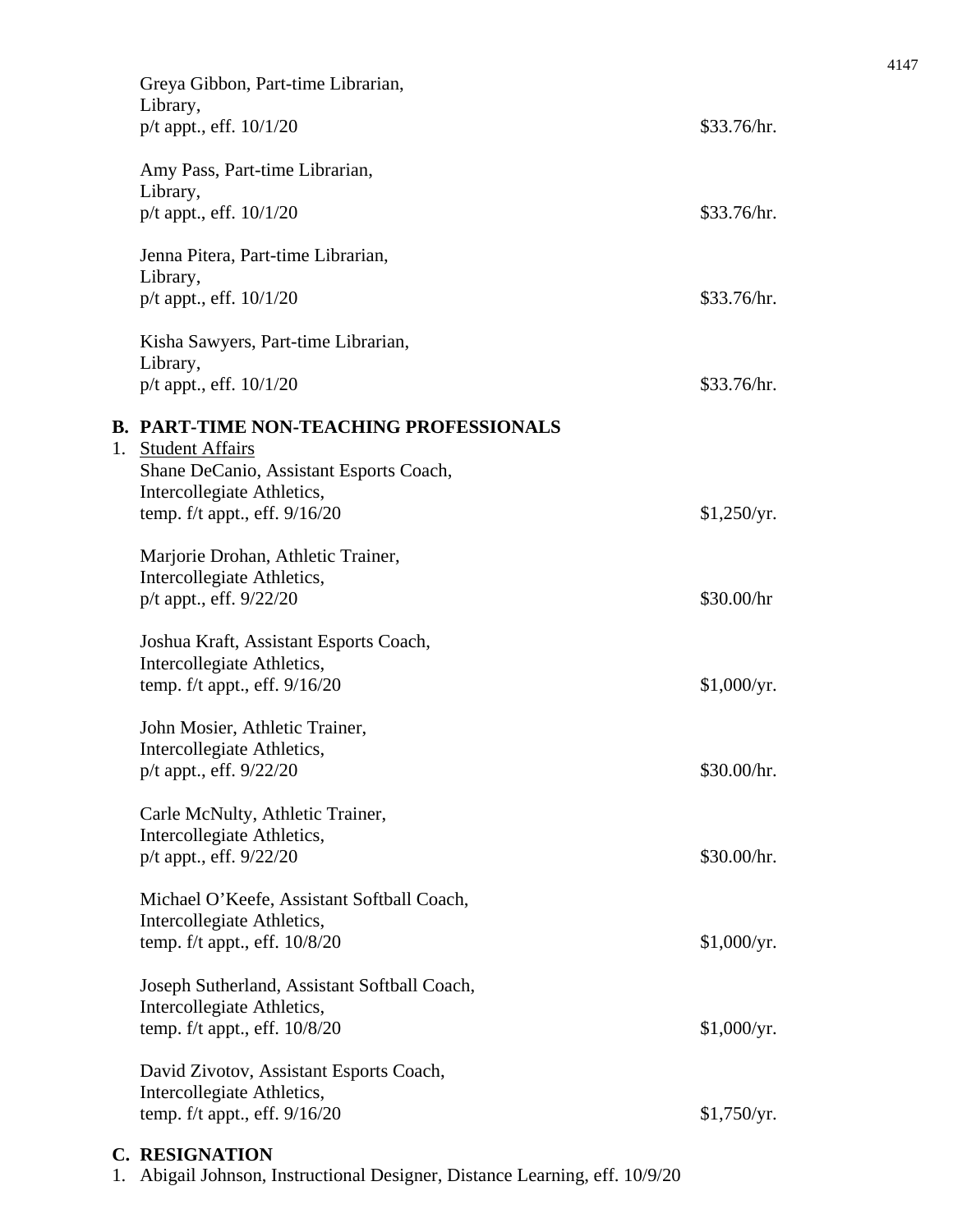| Greya Gibbon, Part-time Librarian,<br>Library,<br>$p/t$ appt., eff. $10/1/20$                                                                 | \$33.76/hr.               |
|-----------------------------------------------------------------------------------------------------------------------------------------------|---------------------------|
| Amy Pass, Part-time Librarian,<br>Library,<br>$p/t$ appt., eff. $10/1/20$                                                                     | \$33.76/hr.               |
| Jenna Pitera, Part-time Librarian,<br>Library,<br>$p/t$ appt., eff. $10/1/20$                                                                 | \$33.76/hr.               |
| Kisha Sawyers, Part-time Librarian,<br>Library,<br>$p/t$ appt., eff. $10/1/20$                                                                | \$33.76/hr.               |
| <b>B. PART-TIME NON-TEACHING PROFESSIONALS</b><br>1. Student Affairs<br>Shane DeCanio, Assistant Esports Coach,<br>Intercollegiate Athletics, |                           |
| temp. $f/t$ appt., eff. $9/16/20$<br>Marjorie Drohan, Athletic Trainer,<br>Intercollegiate Athletics,<br>p/t appt., eff. 9/22/20              | \$1,250/yr.<br>\$30.00/hr |
| Joshua Kraft, Assistant Esports Coach,<br>Intercollegiate Athletics,<br>temp. $f/t$ appt., eff. $9/16/20$                                     | \$1,000/yr.               |
| John Mosier, Athletic Trainer,<br>Intercollegiate Athletics,<br>p/t appt., eff. 9/22/20                                                       | \$30.00/hr.               |
| Carle McNulty, Athletic Trainer,<br>Intercollegiate Athletics,<br>p/t appt., eff. 9/22/20                                                     | \$30.00/hr.               |
| Michael O'Keefe, Assistant Softball Coach,<br>Intercollegiate Athletics,<br>temp. f/t appt., eff. 10/8/20                                     | \$1,000/yr.               |
| Joseph Sutherland, Assistant Softball Coach,<br>Intercollegiate Athletics,<br>temp. $f/t$ appt., eff. $10/8/20$                               | \$1,000/yr.               |
| David Zivotov, Assistant Esports Coach,<br>Intercollegiate Athletics,<br>temp. $f/t$ appt., eff. $9/16/20$                                    | \$1,750/yr.               |
| <b>C. RESIGNATION</b>                                                                                                                         |                           |

1. Abigail Johnson, Instructional Designer, Distance Learning, eff. 10/9/20